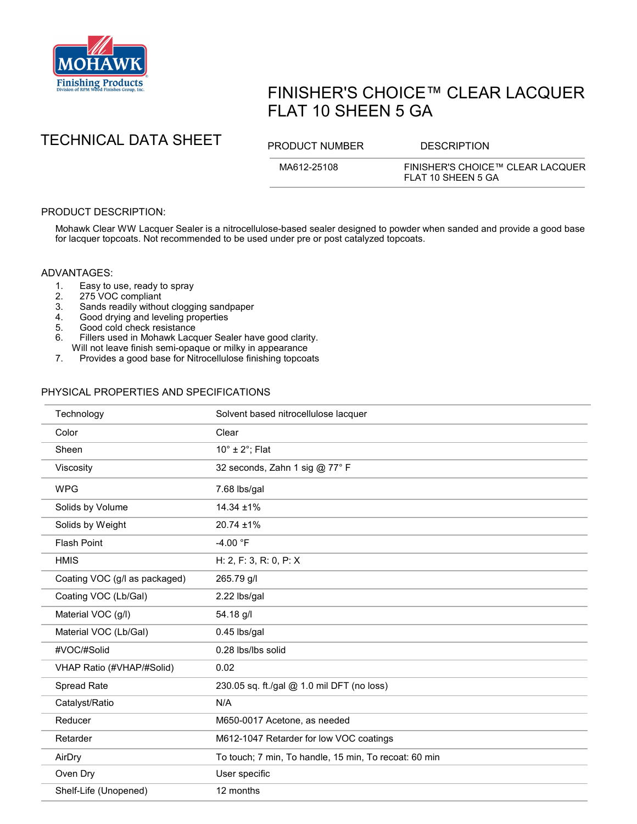

# FINISHER'S CHOICE™ CLEAR LACQUER FLAT 10 SHEEN 5 GA



MA612-25108 FINISHER'S CHOICE™ CLEAR LACQUER FLAT 10 SHEEN 5 GA

## PRODUCT DESCRIPTION:

Mohawk Clear WW Lacquer Sealer is a nitrocellulose-based sealer designed to powder when sanded and provide a good base for lacquer topcoats. Not recommended to be used under pre or post catalyzed topcoats.

#### ADVANTAGES:

- 1. Easy to use, ready to spray<br>2. 275 VOC compliant
- 2. 275 VOC compliant<br>3. Sands readily withou
- Sands readily without clogging sandpaper
- 4. Good drying and leveling properties<br>5. Good cold check resistance
- 5. Good cold check resistance<br>6. Fillers used in Mohawk Lacq
- Fillers used in Mohawk Lacquer Sealer have good clarity.
- Will not leave finish semi-opaque or milky in appearance
- 7. Provides a good base for Nitrocellulose finishing topcoats

### PHYSICAL PROPERTIES AND SPECIFICATIONS

| Technology                    | Solvent based nitrocellulose lacquer                  |
|-------------------------------|-------------------------------------------------------|
| Color                         | Clear                                                 |
| Sheen                         | $10^\circ \pm 2^\circ$ ; Flat                         |
| Viscosity                     | 32 seconds, Zahn 1 sig @ 77° F                        |
| <b>WPG</b>                    | 7.68 lbs/gal                                          |
| Solids by Volume              | 14.34 ±1%                                             |
| Solids by Weight              | 20.74 ±1%                                             |
| <b>Flash Point</b>            | $-4.00 °F$                                            |
| <b>HMIS</b>                   | H: 2, F: 3, R: 0, P: X                                |
| Coating VOC (g/l as packaged) | 265.79 g/l                                            |
| Coating VOC (Lb/Gal)          | 2.22 lbs/gal                                          |
| Material VOC (g/l)            | 54.18 g/l                                             |
| Material VOC (Lb/Gal)         | 0.45 lbs/gal                                          |
| #VOC/#Solid                   | 0.28 lbs/lbs solid                                    |
| VHAP Ratio (#VHAP/#Solid)     | 0.02                                                  |
| Spread Rate                   | 230.05 sq. ft./gal @ 1.0 mil DFT (no loss)            |
| Catalyst/Ratio                | N/A                                                   |
| Reducer                       | M650-0017 Acetone, as needed                          |
| Retarder                      | M612-1047 Retarder for low VOC coatings               |
| AirDry                        | To touch; 7 min, To handle, 15 min, To recoat: 60 min |
| Oven Dry                      | User specific                                         |
| Shelf-Life (Unopened)         | 12 months                                             |